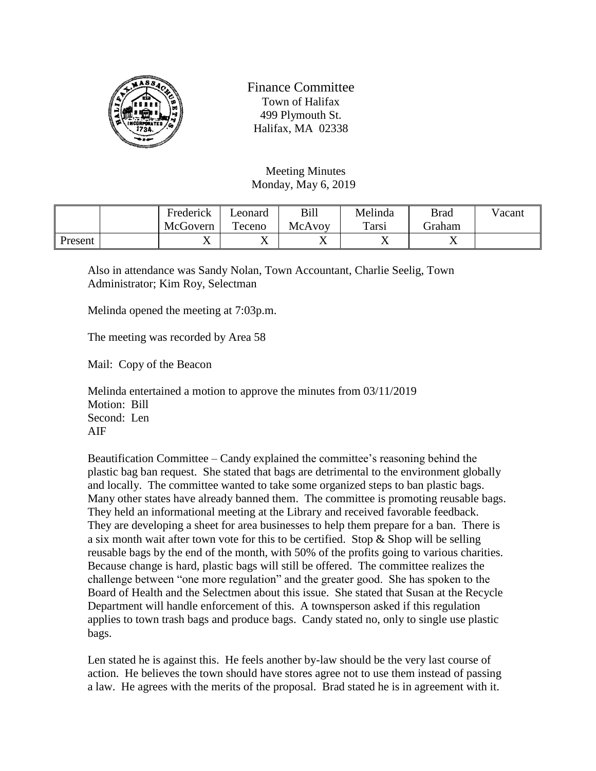

Finance Committee Town of Halifax 499 Plymouth St. Halifax, MA 02338

Meeting Minutes Monday, May 6, 2019

|         | Frederick | ∟eonard        | Bill   | Melinda | <b>Brad</b> | Vacant |
|---------|-----------|----------------|--------|---------|-------------|--------|
|         | McGovern  | Teceno         | McAvoy | Tarsi   | Graham      |        |
| Present |           | $\overline{ }$ |        |         | ∡⊾          |        |

Also in attendance was Sandy Nolan, Town Accountant, Charlie Seelig, Town Administrator; Kim Roy, Selectman

Melinda opened the meeting at 7:03p.m.

The meeting was recorded by Area 58

Mail: Copy of the Beacon

Melinda entertained a motion to approve the minutes from 03/11/2019 Motion: Bill Second: Len AIF

Beautification Committee – Candy explained the committee's reasoning behind the plastic bag ban request. She stated that bags are detrimental to the environment globally and locally. The committee wanted to take some organized steps to ban plastic bags. Many other states have already banned them. The committee is promoting reusable bags. They held an informational meeting at the Library and received favorable feedback. They are developing a sheet for area businesses to help them prepare for a ban. There is a six month wait after town vote for this to be certified. Stop  $\&$  Shop will be selling reusable bags by the end of the month, with 50% of the profits going to various charities. Because change is hard, plastic bags will still be offered. The committee realizes the challenge between "one more regulation" and the greater good. She has spoken to the Board of Health and the Selectmen about this issue. She stated that Susan at the Recycle Department will handle enforcement of this. A townsperson asked if this regulation applies to town trash bags and produce bags. Candy stated no, only to single use plastic bags.

Len stated he is against this. He feels another by-law should be the very last course of action. He believes the town should have stores agree not to use them instead of passing a law. He agrees with the merits of the proposal. Brad stated he is in agreement with it.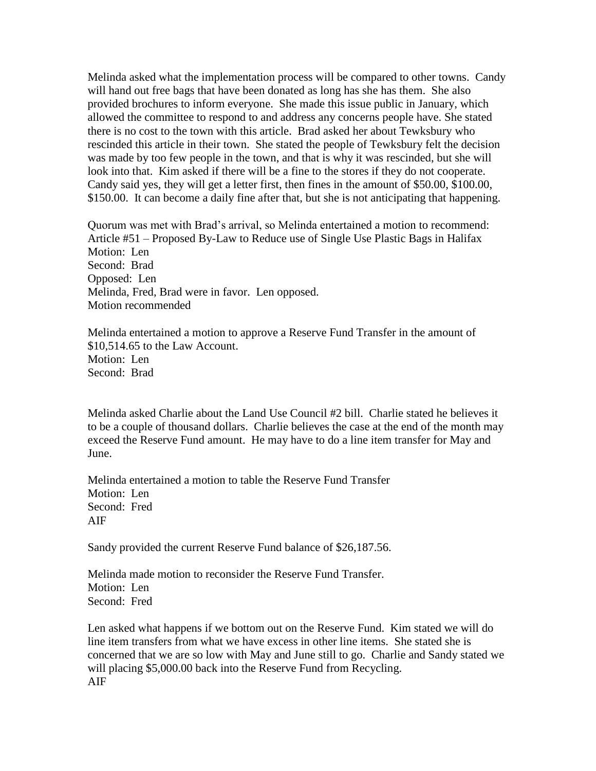Melinda asked what the implementation process will be compared to other towns. Candy will hand out free bags that have been donated as long has she has them. She also provided brochures to inform everyone. She made this issue public in January, which allowed the committee to respond to and address any concerns people have. She stated there is no cost to the town with this article. Brad asked her about Tewksbury who rescinded this article in their town. She stated the people of Tewksbury felt the decision was made by too few people in the town, and that is why it was rescinded, but she will look into that. Kim asked if there will be a fine to the stores if they do not cooperate. Candy said yes, they will get a letter first, then fines in the amount of \$50.00, \$100.00, \$150.00. It can become a daily fine after that, but she is not anticipating that happening.

Quorum was met with Brad's arrival, so Melinda entertained a motion to recommend: Article #51 – Proposed By-Law to Reduce use of Single Use Plastic Bags in Halifax Motion: Len Second: Brad Opposed: Len Melinda, Fred, Brad were in favor. Len opposed. Motion recommended

Melinda entertained a motion to approve a Reserve Fund Transfer in the amount of \$10,514.65 to the Law Account. Motion: Len Second: Brad

Melinda asked Charlie about the Land Use Council #2 bill. Charlie stated he believes it to be a couple of thousand dollars. Charlie believes the case at the end of the month may exceed the Reserve Fund amount. He may have to do a line item transfer for May and June.

Melinda entertained a motion to table the Reserve Fund Transfer Motion: Len Second: Fred AIF

Sandy provided the current Reserve Fund balance of \$26,187.56.

Melinda made motion to reconsider the Reserve Fund Transfer. Motion: Len Second: Fred

Len asked what happens if we bottom out on the Reserve Fund. Kim stated we will do line item transfers from what we have excess in other line items. She stated she is concerned that we are so low with May and June still to go. Charlie and Sandy stated we will placing \$5,000.00 back into the Reserve Fund from Recycling. AIF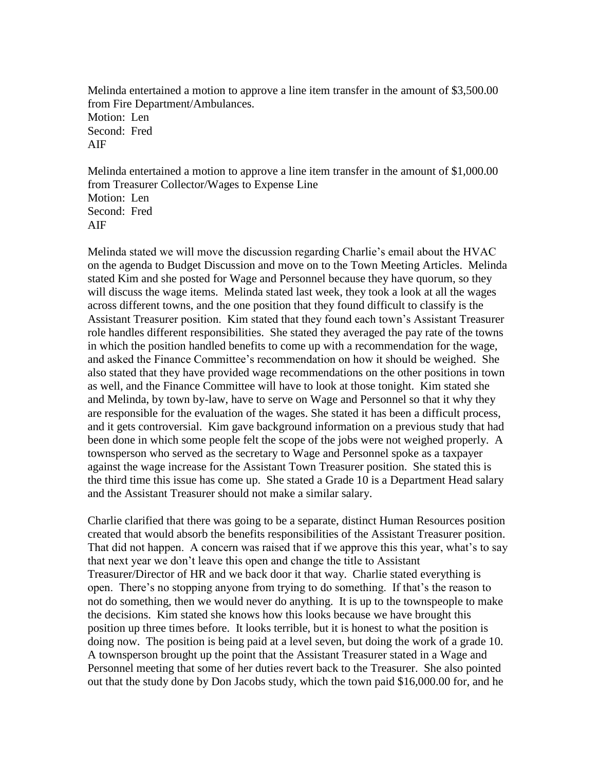Melinda entertained a motion to approve a line item transfer in the amount of \$3,500.00 from Fire Department/Ambulances. Motion: Len Second: Fred AIF

Melinda entertained a motion to approve a line item transfer in the amount of \$1,000.00 from Treasurer Collector/Wages to Expense Line Motion: Len Second: Fred AIF

Melinda stated we will move the discussion regarding Charlie's email about the HVAC on the agenda to Budget Discussion and move on to the Town Meeting Articles. Melinda stated Kim and she posted for Wage and Personnel because they have quorum, so they will discuss the wage items. Melinda stated last week, they took a look at all the wages across different towns, and the one position that they found difficult to classify is the Assistant Treasurer position. Kim stated that they found each town's Assistant Treasurer role handles different responsibilities. She stated they averaged the pay rate of the towns in which the position handled benefits to come up with a recommendation for the wage, and asked the Finance Committee's recommendation on how it should be weighed. She also stated that they have provided wage recommendations on the other positions in town as well, and the Finance Committee will have to look at those tonight. Kim stated she and Melinda, by town by-law, have to serve on Wage and Personnel so that it why they are responsible for the evaluation of the wages. She stated it has been a difficult process, and it gets controversial. Kim gave background information on a previous study that had been done in which some people felt the scope of the jobs were not weighed properly. A townsperson who served as the secretary to Wage and Personnel spoke as a taxpayer against the wage increase for the Assistant Town Treasurer position. She stated this is the third time this issue has come up. She stated a Grade 10 is a Department Head salary and the Assistant Treasurer should not make a similar salary.

Charlie clarified that there was going to be a separate, distinct Human Resources position created that would absorb the benefits responsibilities of the Assistant Treasurer position. That did not happen. A concern was raised that if we approve this this year, what's to say that next year we don't leave this open and change the title to Assistant Treasurer/Director of HR and we back door it that way. Charlie stated everything is open. There's no stopping anyone from trying to do something. If that's the reason to not do something, then we would never do anything. It is up to the townspeople to make the decisions. Kim stated she knows how this looks because we have brought this position up three times before. It looks terrible, but it is honest to what the position is doing now. The position is being paid at a level seven, but doing the work of a grade 10. A townsperson brought up the point that the Assistant Treasurer stated in a Wage and Personnel meeting that some of her duties revert back to the Treasurer. She also pointed out that the study done by Don Jacobs study, which the town paid \$16,000.00 for, and he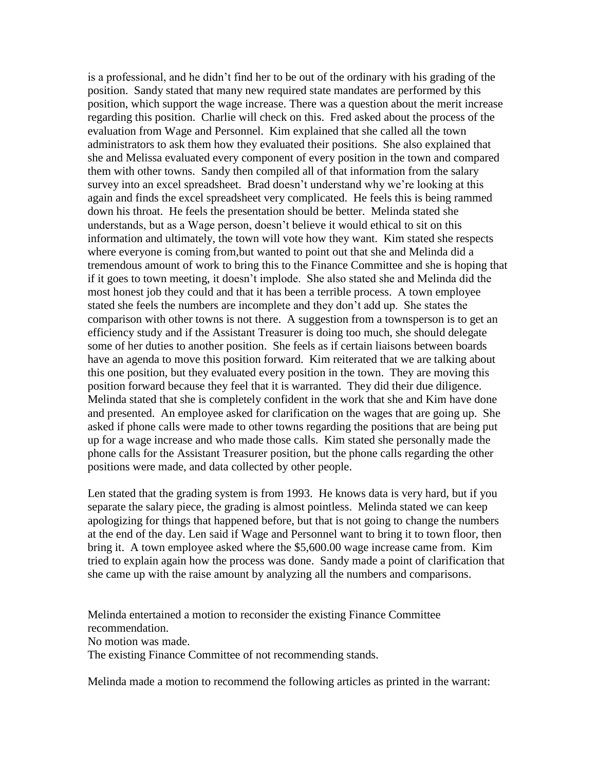is a professional, and he didn't find her to be out of the ordinary with his grading of the position. Sandy stated that many new required state mandates are performed by this position, which support the wage increase. There was a question about the merit increase regarding this position. Charlie will check on this. Fred asked about the process of the evaluation from Wage and Personnel. Kim explained that she called all the town administrators to ask them how they evaluated their positions. She also explained that she and Melissa evaluated every component of every position in the town and compared them with other towns. Sandy then compiled all of that information from the salary survey into an excel spreadsheet. Brad doesn't understand why we're looking at this again and finds the excel spreadsheet very complicated. He feels this is being rammed down his throat. He feels the presentation should be better. Melinda stated she understands, but as a Wage person, doesn't believe it would ethical to sit on this information and ultimately, the town will vote how they want. Kim stated she respects where everyone is coming from,but wanted to point out that she and Melinda did a tremendous amount of work to bring this to the Finance Committee and she is hoping that if it goes to town meeting, it doesn't implode. She also stated she and Melinda did the most honest job they could and that it has been a terrible process. A town employee stated she feels the numbers are incomplete and they don't add up. She states the comparison with other towns is not there. A suggestion from a townsperson is to get an efficiency study and if the Assistant Treasurer is doing too much, she should delegate some of her duties to another position. She feels as if certain liaisons between boards have an agenda to move this position forward. Kim reiterated that we are talking about this one position, but they evaluated every position in the town. They are moving this position forward because they feel that it is warranted. They did their due diligence. Melinda stated that she is completely confident in the work that she and Kim have done and presented. An employee asked for clarification on the wages that are going up. She asked if phone calls were made to other towns regarding the positions that are being put up for a wage increase and who made those calls. Kim stated she personally made the phone calls for the Assistant Treasurer position, but the phone calls regarding the other positions were made, and data collected by other people.

Len stated that the grading system is from 1993. He knows data is very hard, but if you separate the salary piece, the grading is almost pointless. Melinda stated we can keep apologizing for things that happened before, but that is not going to change the numbers at the end of the day. Len said if Wage and Personnel want to bring it to town floor, then bring it. A town employee asked where the \$5,600.00 wage increase came from. Kim tried to explain again how the process was done. Sandy made a point of clarification that she came up with the raise amount by analyzing all the numbers and comparisons.

Melinda entertained a motion to reconsider the existing Finance Committee recommendation.

No motion was made.

The existing Finance Committee of not recommending stands.

Melinda made a motion to recommend the following articles as printed in the warrant: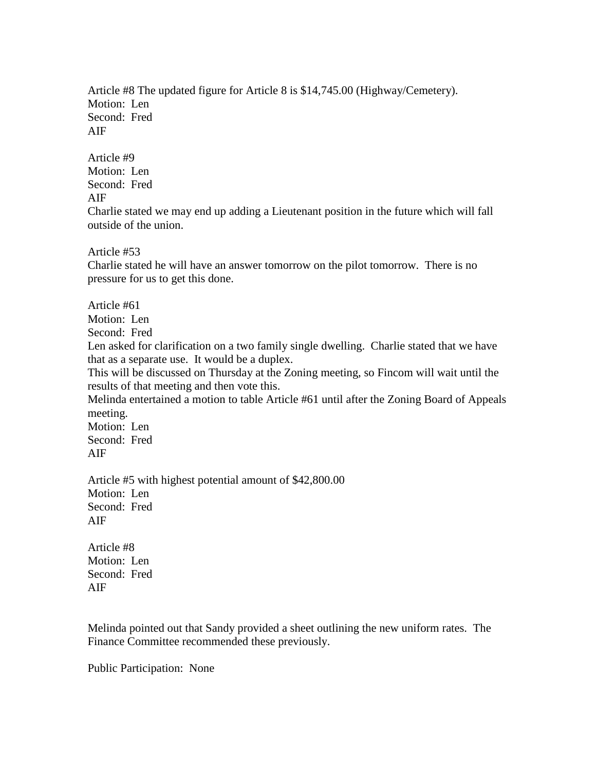Article #8 The updated figure for Article 8 is \$14,745.00 (Highway/Cemetery). Motion: Len Second: Fred AIF

Article #9 Motion: Len Second: Fred AIF Charlie stated we may end up adding a Lieutenant position in the future which will fall outside of the union.

Article #53

Charlie stated he will have an answer tomorrow on the pilot tomorrow. There is no pressure for us to get this done.

Article #61

Motion: Len

Second: Fred

Len asked for clarification on a two family single dwelling. Charlie stated that we have that as a separate use. It would be a duplex.

This will be discussed on Thursday at the Zoning meeting, so Fincom will wait until the results of that meeting and then vote this.

Melinda entertained a motion to table Article #61 until after the Zoning Board of Appeals meeting.

Motion: Len Second: Fred AIF

Article #5 with highest potential amount of \$42,800.00 Motion: Len Second: Fred AIF

Article #8 Motion: Len Second: Fred AIF

Melinda pointed out that Sandy provided a sheet outlining the new uniform rates. The Finance Committee recommended these previously.

Public Participation: None